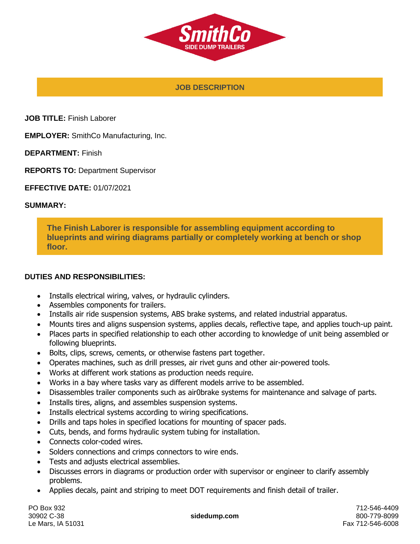

#### **JOB DESCRIPTION**

**JOB TITLE:** Finish Laborer

**EMPLOYER:** SmithCo Manufacturing, Inc.

**DEPARTMENT:** Finish

**REPORTS TO:** Department Supervisor

**EFFECTIVE DATE:** 01/07/2021

#### **SUMMARY:**

**The Finish Laborer is responsible for assembling equipment according to blueprints and wiring diagrams partially or completely working at bench or shop floor.**

### **DUTIES AND RESPONSIBILITIES:**

- Installs electrical wiring, valves, or hydraulic cylinders.
- Assembles components for trailers.
- Installs air ride suspension systems, ABS brake systems, and related industrial apparatus.
- Mounts tires and aligns suspension systems, applies decals, reflective tape, and applies touch-up paint.
- Places parts in specified relationship to each other according to knowledge of unit being assembled or following blueprints.
- Bolts, clips, screws, cements, or otherwise fastens part together.
- Operates machines, such as drill presses, air rivet guns and other air-powered tools.
- Works at different work stations as production needs require.
- Works in a bay where tasks vary as different models arrive to be assembled.
- Disassembles trailer components such as air0brake systems for maintenance and salvage of parts.
- Installs tires, aligns, and assembles suspension systems.
- Installs electrical systems according to wiring specifications.
- Drills and taps holes in specified locations for mounting of spacer pads.
- Cuts, bends, and forms hydraulic system tubing for installation.
- Connects color-coded wires.
- Solders connections and crimps connectors to wire ends.
- Tests and adjusts electrical assemblies.
- Discusses errors in diagrams or production order with supervisor or engineer to clarify assembly problems.
- Applies decals, paint and striping to meet DOT requirements and finish detail of trailer.

**sidedump.com**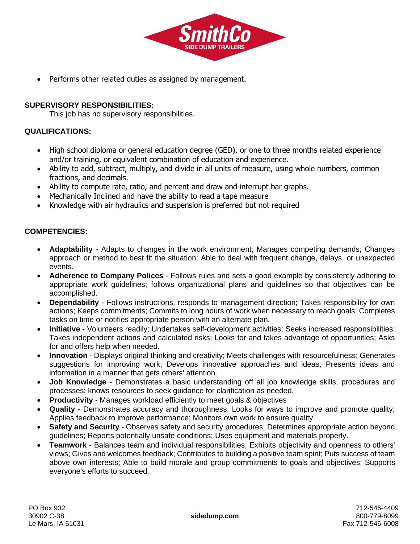

• Performs other related duties as assigned by management.

# **SUPERVISORY RESPONSIBILITIES:**

This job has no supervisory responsibilities.

# **QUALIFICATIONS:**

- High school diploma or general education degree (GED), or one to three months related experience and/or training, or equivalent combination of education and experience.
- Ability to add, subtract, multiply, and divide in all units of measure, using whole numbers, common fractions, and decimals.
- Ability to compute rate, ratio, and percent and draw and interrupt bar graphs.
- Mechanically Inclined and have the ability to read a tape measure
- Knowledge with air hydraulics and suspension is preferred but not required

## **COMPETENCIES:**

- **Adaptability** Adapts to changes in the work environment; Manages competing demands; Changes approach or method to best fit the situation; Able to deal with frequent change, delays, or unexpected events.
- **Adherence to Company Polices** Follows rules and sets a good example by consistently adhering to appropriate work guidelines; follows organizational plans and guidelines so that objectives can be accomplished.
- **Dependability** Follows instructions, responds to management direction; Takes responsibility for own actions; Keeps commitments; Commits to long hours of work when necessary to reach goals; Completes tasks on time or notifies appropriate person with an alternate plan.
- **Initiative** Volunteers readily; Undertakes self-development activities; Seeks increased responsibilities; Takes independent actions and calculated risks; Looks for and takes advantage of opportunities; Asks for and offers help when needed.
- **Innovation** Displays original thinking and creativity; Meets challenges with resourcefulness; Generates suggestions for improving work; Develops innovative approaches and ideas; Presents ideas and information in a manner that gets others' attention.
- **Job Knowledge**  Demonstrates a basic understanding off all job knowledge skills, procedures and processes; knows resources to seek guidance for clarification as needed.
- **Productivity**  Manages workload efficiently to meet goals & objectives
- **Quality** Demonstrates accuracy and thoroughness; Looks for ways to improve and promote quality; Applies feedback to improve performance; Monitors own work to ensure quality.
- **Safety and Security** Observes safety and security procedures; Determines appropriate action beyond guidelines; Reports potentially unsafe conditions; Uses equipment and materials properly.
- **Teamwork** Balances team and individual responsibilities; Exhibits objectivity and openness to others' views; Gives and welcomes feedback; Contributes to building a positive team spirit; Puts success of team above own interests; Able to build morale and group commitments to goals and objectives; Supports everyone's efforts to succeed.